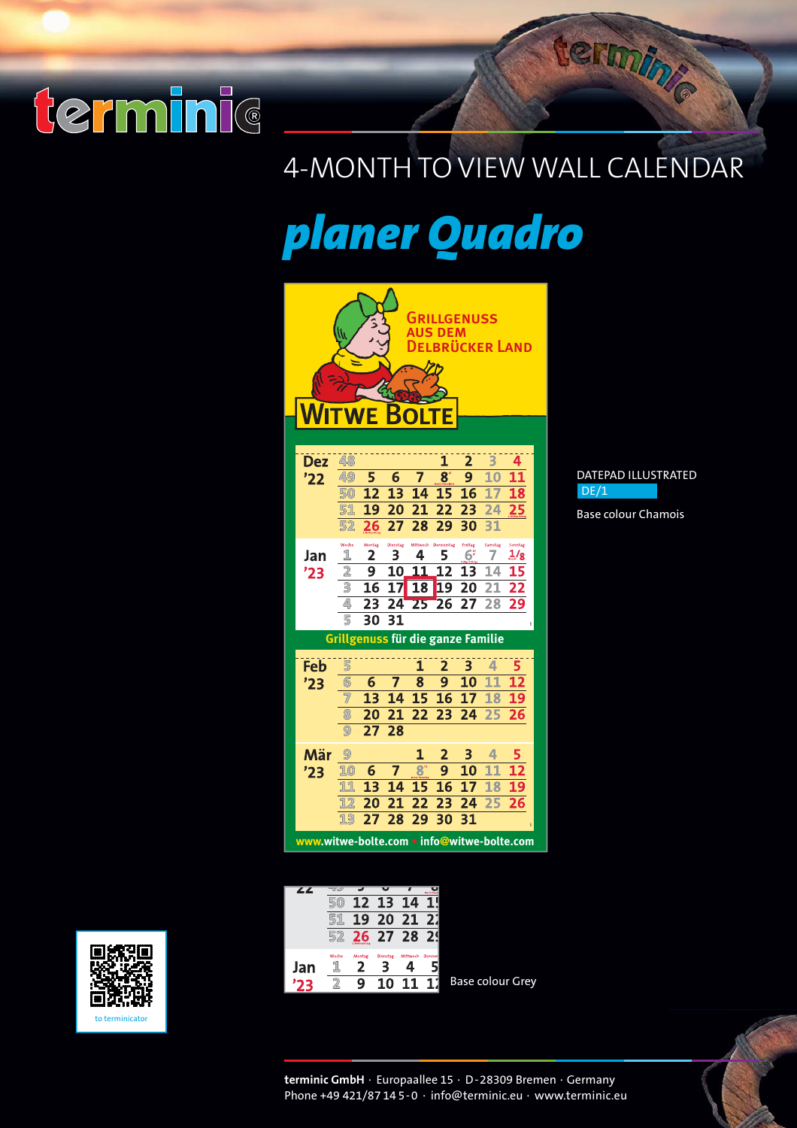

### 4-MONTH TO VIEW WALL CALENDAR

*planer Quadro*

|                                            |                                   |                 |                 | GRILLGENUSS<br><b>AUS DEM</b> |                         |                        |                     | LBRÜCKER LAND          |
|--------------------------------------------|-----------------------------------|-----------------|-----------------|-------------------------------|-------------------------|------------------------|---------------------|------------------------|
| <b>Dez</b>                                 | 48<br>49                          | 5               | 6               | 7                             | $\overline{1}$<br>8     | 2<br>9                 | 3<br>10             | 4<br>11                |
| '22                                        | 50                                | 12              | 13              | 14                            | 15                      | 16                     | 17                  | 18                     |
|                                            | 51                                | 19              | 20              | 21                            | 22                      | 23                     | 24                  | 25                     |
|                                            | 52                                | 26              | 27              | 28                            | 29                      | 30                     | 31                  |                        |
| Jan                                        | Woche<br>1                        | Montag<br>2     | Dienstag<br>3   | Mittwoch<br>4                 | Donnerstag<br>5         | Freitag<br>$6^{\circ}$ | Samstag<br>7        | Sonntag<br>$1\sqrt{2}$ |
| '23                                        | $\overline{2}$<br>3               | 9<br>16         | 10<br>17        | 11<br>18                      | 12<br>19                | 13<br>20               | 14<br>21            | 15<br>22               |
|                                            | 4                                 | 23              | 24              | $\overline{25}$               | 26                      | 27                     | 28                  | 29                     |
|                                            | 5                                 | 30              | 31              |                               |                         |                        |                     |                        |
|                                            | Grillgenuss für die ganze Familie |                 |                 |                               |                         |                        |                     |                        |
| Feb                                        | 5                                 |                 |                 | 1                             | $\overline{\mathbf{2}}$ | 3                      | 4                   | 5                      |
| '23                                        | 6                                 | 6               | 7               | 8                             | 9                       | 10                     | 1<br>$\overline{1}$ | $\overline{12}$        |
|                                            |                                   | $\overline{13}$ | $\overline{14}$ | 15                            | 16                      | 17                     | 18                  | $\overline{19}$        |
|                                            | 8                                 | 20              | 21              | 22                            | 23                      | 24                     | 25                  | 26                     |
|                                            | 9                                 | 27              | 28              |                               |                         |                        |                     |                        |
| Mär                                        | 9                                 |                 |                 | 1                             | 2                       | 3                      | 4                   |                        |
| '23                                        | 10                                | 6               | 7               | 8°                            | 9                       | 10                     | 11                  | 1                      |
|                                            | 11                                | 13              | 14              | 15                            | 16                      | 17                     | 18                  | 1                      |
|                                            | Ī<br>$\overline{2}$<br>13         | 20<br>27        | 21<br>28        | 22<br>29                      | 23<br>30                | 24<br>31               | 25                  | 26                     |
|                                            |                                   |                 |                 |                               |                         |                        |                     |                        |
| www.witwe-bolte.com • info@witwe-bolte.com |                                   |                 |                 |                               |                         |                        |                     |                        |

| ∠∠  | $\overline{u}$ |                        |               |          |        |
|-----|----------------|------------------------|---------------|----------|--------|
|     |                | 12                     | 13            | 14       |        |
|     | 5              | 19                     | 20            | 21       |        |
|     | 52             | 26<br>2. Melbauchtetag | 27 28         |          |        |
| Jan | Woche          | Montag                 | Dienstag<br>з | Mittwoch | Donner |
|     |                | Q                      | 10            |          |        |

Base colour Grey



Base colour Chamois

termine



**terminic GmbH** · Europaallee 15 · D-28309 Bremen · Germany Phone +49 421/87 14 5-0 · info@terminic.eu · www.terminic.eu